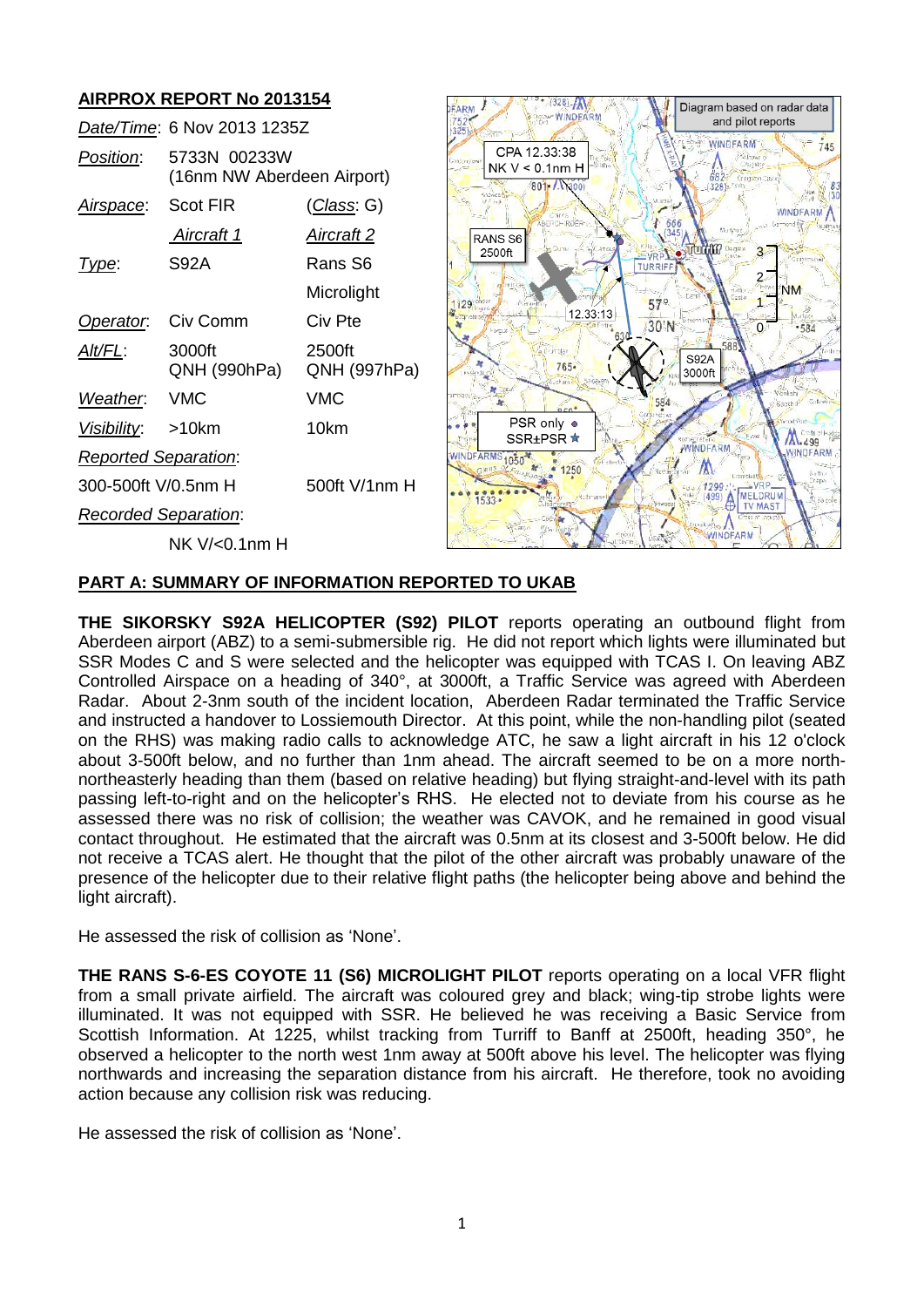# **AIRPROX REPORT No 2013154**

|                             | Date/Time: 6 Nov 2013 1235Z                |                        |
|-----------------------------|--------------------------------------------|------------------------|
| Position:                   | 5733N 00233W<br>(16nm NW Aberdeen Airport) |                        |
| <u>Airspace:</u>            | Scot FIR                                   | <u>(Class</u> : G)     |
|                             | Aircraft 1                                 | Aircraft 2             |
| Type:                       | S92A                                       | Rans S6                |
|                             |                                            | Microlight             |
| Operator.                   | Civ Comm                                   | Civ Pte                |
| <u>Alt/FL:</u>              | 3000ft<br>QNH (990hPa)                     | 2500ft<br>QNH (997hPa) |
| Weather.                    | <b>VMC</b>                                 | VMC                    |
| Visibility: >10km           |                                            | 10km                   |
| <b>Reported Separation:</b> |                                            |                        |
| 300-500ft V/0.5nm H         |                                            | 500ft V/1nm H          |
| <b>Recorded Separation:</b> |                                            |                        |
|                             | NK V/<0.1nm H                              |                        |



#### **PART A: SUMMARY OF INFORMATION REPORTED TO UKAB**

**THE SIKORSKY S92A HELICOPTER (S92) PILOT** reports operating an outbound flight from Aberdeen airport (ABZ) to a semi-submersible rig. He did not report which lights were illuminated but SSR Modes C and S were selected and the helicopter was equipped with TCAS I. On leaving ABZ Controlled Airspace on a heading of 340°, at 3000ft, a Traffic Service was agreed with Aberdeen Radar. About 2-3nm south of the incident location, Aberdeen Radar terminated the Traffic Service and instructed a handover to Lossiemouth Director. At this point, while the non-handling pilot (seated on the RHS) was making radio calls to acknowledge ATC, he saw a light aircraft in his 12 o'clock about 3-500ft below, and no further than 1nm ahead. The aircraft seemed to be on a more northnortheasterly heading than them (based on relative heading) but flying straight-and-level with its path passing left-to-right and on the helicopter's RHS. He elected not to deviate from his course as he assessed there was no risk of collision; the weather was CAVOK, and he remained in good visual contact throughout. He estimated that the aircraft was 0.5nm at its closest and 3-500ft below. He did not receive a TCAS alert. He thought that the pilot of the other aircraft was probably unaware of the presence of the helicopter due to their relative flight paths (the helicopter being above and behind the light aircraft).

He assessed the risk of collision as 'None'.

**THE RANS S-6-ES COYOTE 11 (S6) MICROLIGHT PILOT** reports operating on a local VFR flight from a small private airfield. The aircraft was coloured grey and black; wing-tip strobe lights were illuminated. It was not equipped with SSR. He believed he was receiving a Basic Service from Scottish Information. At 1225, whilst tracking from Turriff to Banff at 2500ft, heading 350°, he observed a helicopter to the north west 1nm away at 500ft above his level. The helicopter was flying northwards and increasing the separation distance from his aircraft. He therefore, took no avoiding action because any collision risk was reducing.

He assessed the risk of collision as 'None'.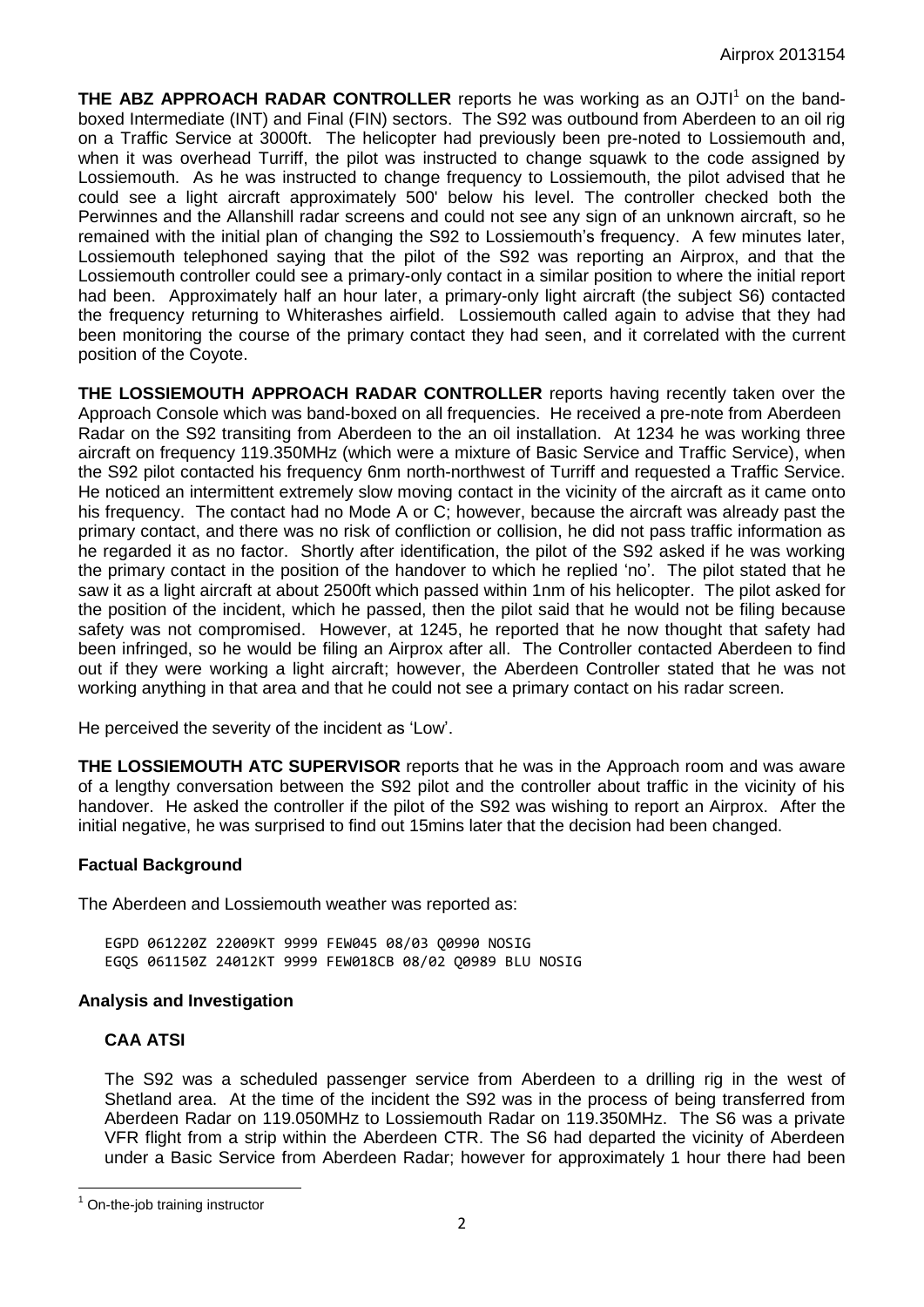**THE ABZ APPROACH RADAR CONTROLLER** reports he was working as an OJTI<sup>1</sup> on the bandboxed Intermediate (INT) and Final (FIN) sectors. The S92 was outbound from Aberdeen to an oil rig on a Traffic Service at 3000ft. The helicopter had previously been pre-noted to Lossiemouth and, when it was overhead Turriff, the pilot was instructed to change squawk to the code assigned by Lossiemouth. As he was instructed to change frequency to Lossiemouth, the pilot advised that he could see a light aircraft approximately 500' below his level. The controller checked both the Perwinnes and the Allanshill radar screens and could not see any sign of an unknown aircraft, so he remained with the initial plan of changing the S92 to Lossiemouth's frequency. A few minutes later, Lossiemouth telephoned saying that the pilot of the S92 was reporting an Airprox, and that the Lossiemouth controller could see a primary-only contact in a similar position to where the initial report had been. Approximately half an hour later, a primary-only light aircraft (the subject S6) contacted the frequency returning to Whiterashes airfield. Lossiemouth called again to advise that they had been monitoring the course of the primary contact they had seen, and it correlated with the current position of the Coyote.

**THE LOSSIEMOUTH APPROACH RADAR CONTROLLER** reports having recently taken over the Approach Console which was band-boxed on all frequencies. He received a pre-note from Aberdeen Radar on the S92 transiting from Aberdeen to the an oil installation. At 1234 he was working three aircraft on frequency 119.350MHz (which were a mixture of Basic Service and Traffic Service), when the S92 pilot contacted his frequency 6nm north-northwest of Turriff and requested a Traffic Service. He noticed an intermittent extremely slow moving contact in the vicinity of the aircraft as it came onto his frequency. The contact had no Mode A or C; however, because the aircraft was already past the primary contact, and there was no risk of confliction or collision, he did not pass traffic information as he regarded it as no factor. Shortly after identification, the pilot of the S92 asked if he was working the primary contact in the position of the handover to which he replied 'no'. The pilot stated that he saw it as a light aircraft at about 2500ft which passed within 1nm of his helicopter. The pilot asked for the position of the incident, which he passed, then the pilot said that he would not be filing because safety was not compromised. However, at 1245, he reported that he now thought that safety had been infringed, so he would be filing an Airprox after all. The Controller contacted Aberdeen to find out if they were working a light aircraft; however, the Aberdeen Controller stated that he was not working anything in that area and that he could not see a primary contact on his radar screen.

He perceived the severity of the incident as 'Low'.

**THE LOSSIEMOUTH ATC SUPERVISOR** reports that he was in the Approach room and was aware of a lengthy conversation between the S92 pilot and the controller about traffic in the vicinity of his handover. He asked the controller if the pilot of the S92 was wishing to report an Airprox. After the initial negative, he was surprised to find out 15mins later that the decision had been changed.

## **Factual Background**

The Aberdeen and Lossiemouth weather was reported as:

EGPD 061220Z 22009KT 9999 FEW045 08/03 Q0990 NOSIG EGQS 061150Z 24012KT 9999 FEW018CB 08/02 Q0989 BLU NOSIG

## **Analysis and Investigation**

## **CAA ATSI**

The S92 was a scheduled passenger service from Aberdeen to a drilling rig in the west of Shetland area. At the time of the incident the S92 was in the process of being transferred from Aberdeen Radar on 119.050MHz to Lossiemouth Radar on 119.350MHz. The S6 was a private VFR flight from a strip within the Aberdeen CTR. The S6 had departed the vicinity of Aberdeen under a Basic Service from Aberdeen Radar; however for approximately 1 hour there had been

 $\overline{\phantom{a}}$  $1$  On-the-job training instructor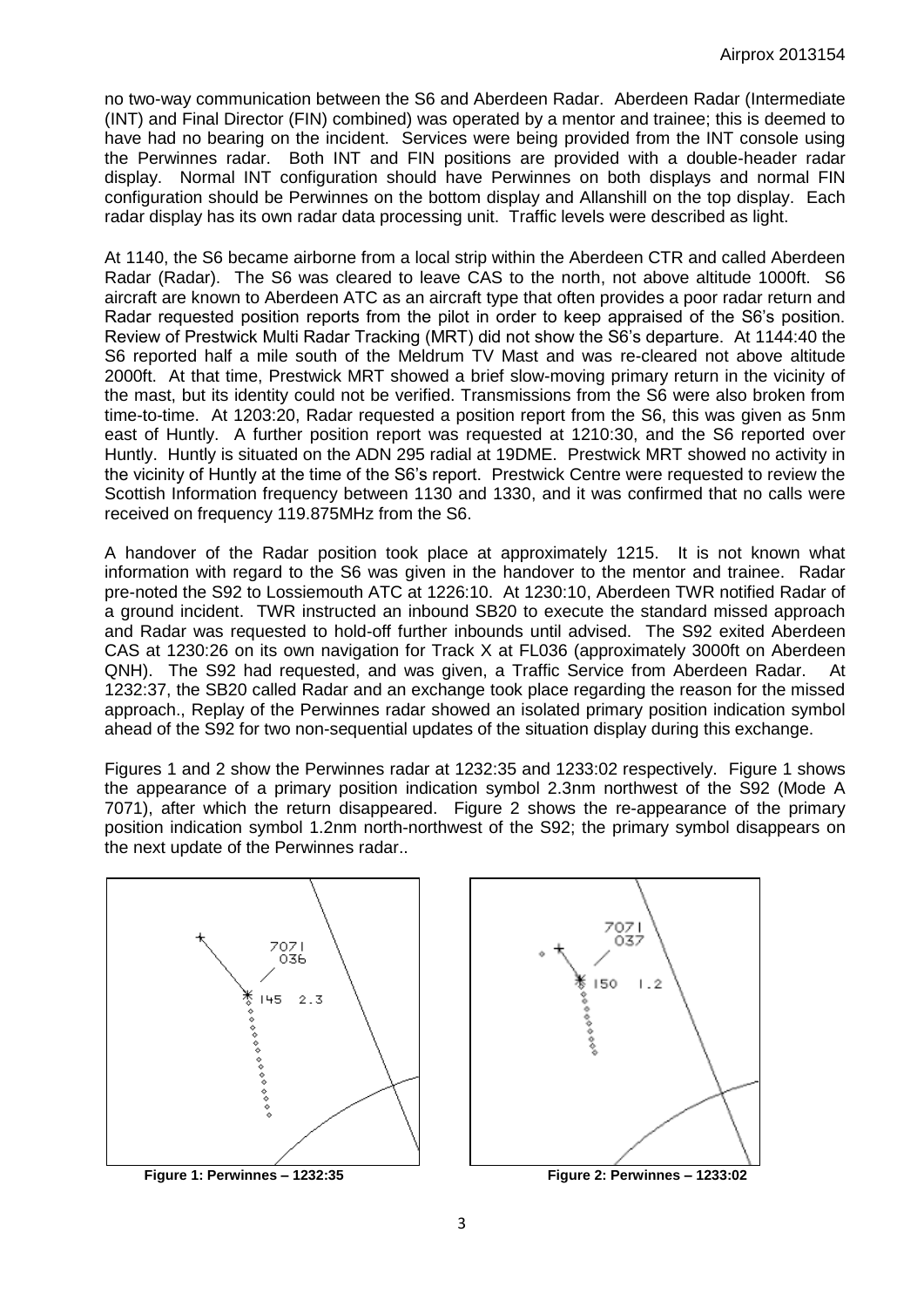no two-way communication between the S6 and Aberdeen Radar. Aberdeen Radar (Intermediate (INT) and Final Director (FIN) combined) was operated by a mentor and trainee; this is deemed to have had no bearing on the incident. Services were being provided from the INT console using the Perwinnes radar. Both INT and FIN positions are provided with a double-header radar display. Normal INT configuration should have Perwinnes on both displays and normal FIN configuration should be Perwinnes on the bottom display and Allanshill on the top display. Each radar display has its own radar data processing unit. Traffic levels were described as light.

At 1140, the S6 became airborne from a local strip within the Aberdeen CTR and called Aberdeen Radar (Radar). The S6 was cleared to leave CAS to the north, not above altitude 1000ft. S6 aircraft are known to Aberdeen ATC as an aircraft type that often provides a poor radar return and Radar requested position reports from the pilot in order to keep appraised of the S6's position. Review of Prestwick Multi Radar Tracking (MRT) did not show the S6's departure. At 1144:40 the S6 reported half a mile south of the Meldrum TV Mast and was re-cleared not above altitude 2000ft. At that time, Prestwick MRT showed a brief slow-moving primary return in the vicinity of the mast, but its identity could not be verified. Transmissions from the S6 were also broken from time-to-time. At 1203:20, Radar requested a position report from the S6, this was given as 5nm east of Huntly. A further position report was requested at 1210:30, and the S6 reported over Huntly. Huntly is situated on the ADN 295 radial at 19DME. Prestwick MRT showed no activity in the vicinity of Huntly at the time of the S6's report. Prestwick Centre were requested to review the Scottish Information frequency between 1130 and 1330, and it was confirmed that no calls were received on frequency 119.875MHz from the S6.

A handover of the Radar position took place at approximately 1215. It is not known what information with regard to the S6 was given in the handover to the mentor and trainee. Radar pre-noted the S92 to Lossiemouth ATC at 1226:10. At 1230:10, Aberdeen TWR notified Radar of a ground incident. TWR instructed an inbound SB20 to execute the standard missed approach and Radar was requested to hold-off further inbounds until advised. The S92 exited Aberdeen CAS at 1230:26 on its own navigation for Track X at FL036 (approximately 3000ft on Aberdeen QNH). The S92 had requested, and was given, a Traffic Service from Aberdeen Radar. At 1232:37, the SB20 called Radar and an exchange took place regarding the reason for the missed approach., Replay of the Perwinnes radar showed an isolated primary position indication symbol ahead of the S92 for two non-sequential updates of the situation display during this exchange.

Figures 1 and 2 show the Perwinnes radar at 1232:35 and 1233:02 respectively. Figure 1 shows the appearance of a primary position indication symbol 2.3nm northwest of the S92 (Mode A 7071), after which the return disappeared. Figure 2 shows the re-appearance of the primary position indication symbol 1.2nm north-northwest of the S92; the primary symbol disappears on the next update of the Perwinnes radar..

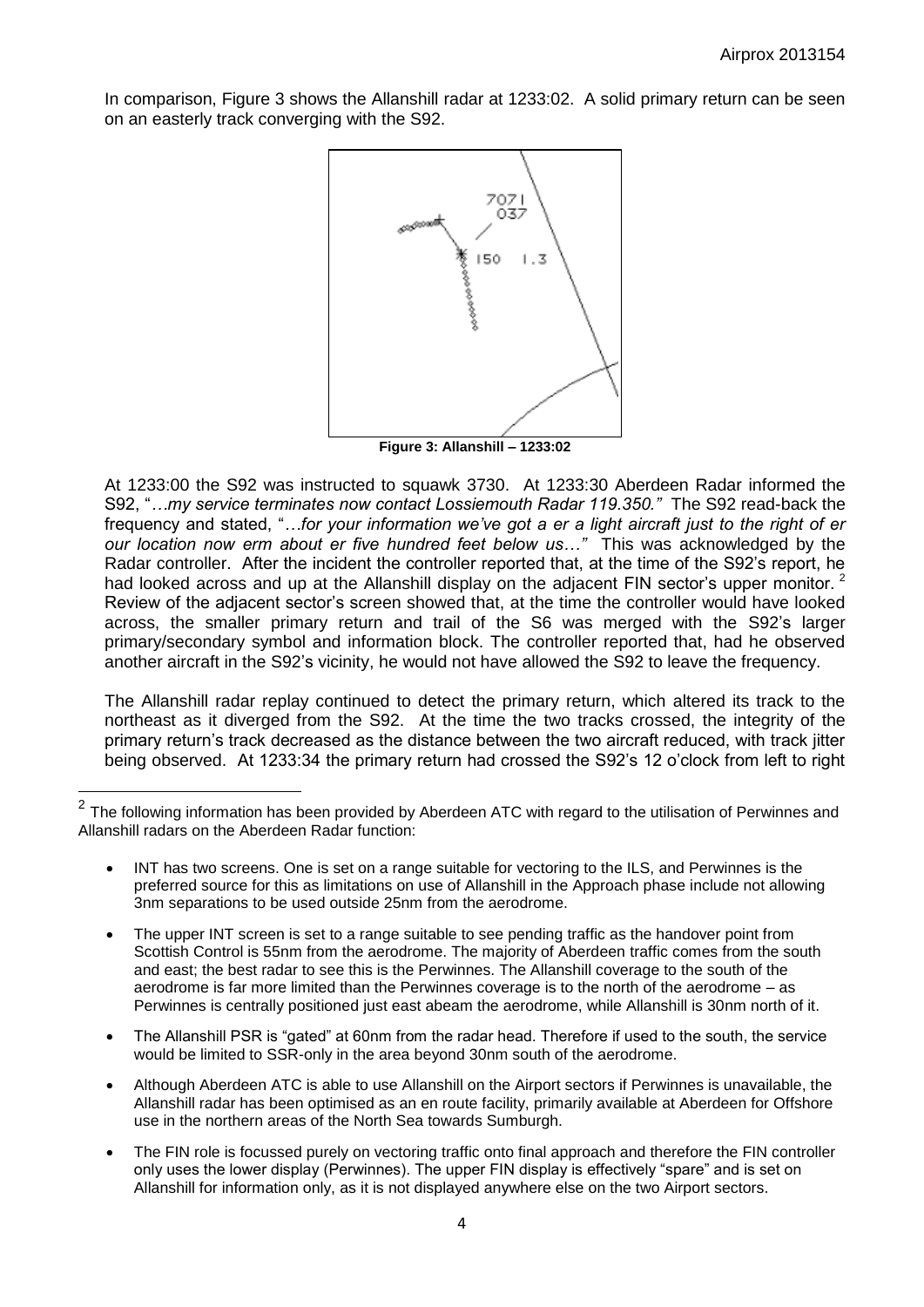In comparison, Figure 3 shows the Allanshill radar at 1233:02. A solid primary return can be seen on an easterly track converging with the S92.



**Figure 3: Allanshill – 1233:02**

At 1233:00 the S92 was instructed to squawk 3730. At 1233:30 Aberdeen Radar informed the S92, "*…my service terminates now contact Lossiemouth Radar 119.350."* The S92 read-back the frequency and stated, "...for your information we've got a er a light aircraft just to the right of er *our location now erm about er five hundred feet below us…"* This was acknowledged by the Radar controller. After the incident the controller reported that, at the time of the S92's report, he had looked across and up at the Allanshill display on the adjacent FIN sector's upper monitor. <sup>2</sup> Review of the adjacent sector's screen showed that, at the time the controller would have looked across, the smaller primary return and trail of the S6 was merged with the S92's larger primary/secondary symbol and information block. The controller reported that, had he observed another aircraft in the S92's vicinity, he would not have allowed the S92 to leave the frequency.

The Allanshill radar replay continued to detect the primary return, which altered its track to the northeast as it diverged from the S92. At the time the two tracks crossed, the integrity of the primary return's track decreased as the distance between the two aircraft reduced, with track jitter being observed. At 1233:34 the primary return had crossed the S92's 12 o'clock from left to right

- INT has two screens. One is set on a range suitable for vectoring to the ILS, and Perwinnes is the preferred source for this as limitations on use of Allanshill in the Approach phase include not allowing 3nm separations to be used outside 25nm from the aerodrome.
- The upper INT screen is set to a range suitable to see pending traffic as the handover point from Scottish Control is 55nm from the aerodrome. The majority of Aberdeen traffic comes from the south and east; the best radar to see this is the Perwinnes. The Allanshill coverage to the south of the aerodrome is far more limited than the Perwinnes coverage is to the north of the aerodrome – as Perwinnes is centrally positioned just east abeam the aerodrome, while Allanshill is 30nm north of it.
- The Allanshill PSR is "gated" at 60nm from the radar head. Therefore if used to the south, the service would be limited to SSR-only in the area beyond 30nm south of the aerodrome.
- Although Aberdeen ATC is able to use Allanshill on the Airport sectors if Perwinnes is unavailable, the Allanshill radar has been optimised as an en route facility, primarily available at Aberdeen for Offshore use in the northern areas of the North Sea towards Sumburgh.
- The FIN role is focussed purely on vectoring traffic onto final approach and therefore the FIN controller only uses the lower display (Perwinnes). The upper FIN display is effectively "spare" and is set on Allanshill for information only, as it is not displayed anywhere else on the two Airport sectors.

 $\overline{2}$ The following information has been provided by Aberdeen ATC with regard to the utilisation of Perwinnes and Allanshill radars on the Aberdeen Radar function: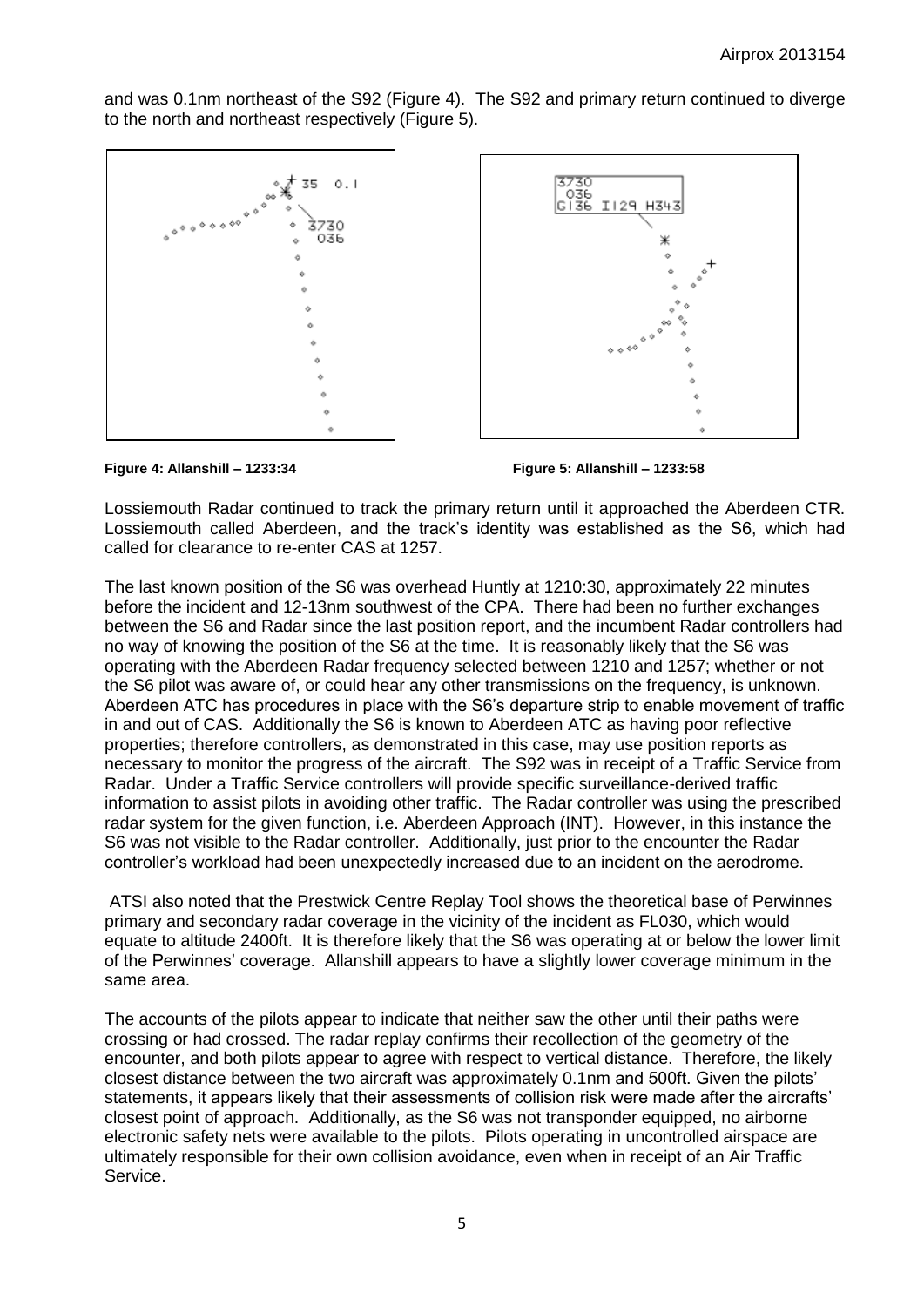and was 0.1nm northeast of the S92 (Figure 4). The S92 and primary return continued to diverge to the north and northeast respectively (Figure 5).





Lossiemouth Radar continued to track the primary return until it approached the Aberdeen CTR. Lossiemouth called Aberdeen, and the track's identity was established as the S6, which had called for clearance to re-enter CAS at 1257.

The last known position of the S6 was overhead Huntly at 1210:30, approximately 22 minutes before the incident and 12-13nm southwest of the CPA. There had been no further exchanges between the S6 and Radar since the last position report, and the incumbent Radar controllers had no way of knowing the position of the S6 at the time. It is reasonably likely that the S6 was operating with the Aberdeen Radar frequency selected between 1210 and 1257; whether or not the S6 pilot was aware of, or could hear any other transmissions on the frequency, is unknown. Aberdeen ATC has procedures in place with the S6's departure strip to enable movement of traffic in and out of CAS. Additionally the S6 is known to Aberdeen ATC as having poor reflective properties; therefore controllers, as demonstrated in this case, may use position reports as necessary to monitor the progress of the aircraft. The S92 was in receipt of a Traffic Service from Radar. Under a Traffic Service controllers will provide specific surveillance-derived traffic information to assist pilots in avoiding other traffic. The Radar controller was using the prescribed radar system for the given function, i.e. Aberdeen Approach (INT). However, in this instance the S6 was not visible to the Radar controller. Additionally, just prior to the encounter the Radar controller's workload had been unexpectedly increased due to an incident on the aerodrome.

ATSI also noted that the Prestwick Centre Replay Tool shows the theoretical base of Perwinnes primary and secondary radar coverage in the vicinity of the incident as FL030, which would equate to altitude 2400ft. It is therefore likely that the S6 was operating at or below the lower limit of the Perwinnes' coverage. Allanshill appears to have a slightly lower coverage minimum in the same area.

The accounts of the pilots appear to indicate that neither saw the other until their paths were crossing or had crossed. The radar replay confirms their recollection of the geometry of the encounter, and both pilots appear to agree with respect to vertical distance. Therefore, the likely closest distance between the two aircraft was approximately 0.1nm and 500ft. Given the pilots' statements, it appears likely that their assessments of collision risk were made after the aircrafts' closest point of approach. Additionally, as the S6 was not transponder equipped, no airborne electronic safety nets were available to the pilots. Pilots operating in uncontrolled airspace are ultimately responsible for their own collision avoidance, even when in receipt of an Air Traffic Service.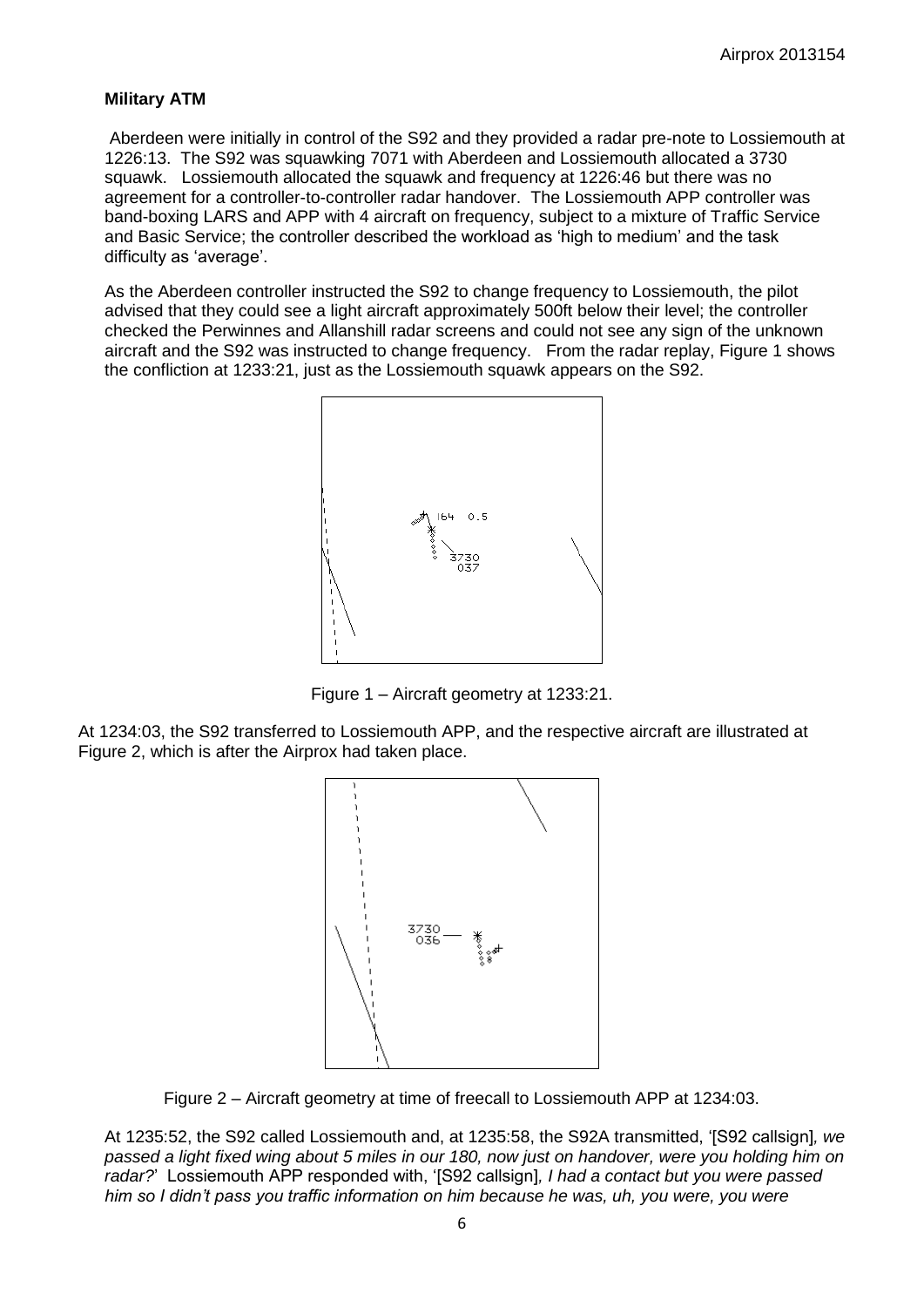## **Military ATM**

Aberdeen were initially in control of the S92 and they provided a radar pre-note to Lossiemouth at 1226:13. The S92 was squawking 7071 with Aberdeen and Lossiemouth allocated a 3730 squawk. Lossiemouth allocated the squawk and frequency at 1226:46 but there was no agreement for a controller-to-controller radar handover. The Lossiemouth APP controller was band-boxing LARS and APP with 4 aircraft on frequency, subject to a mixture of Traffic Service and Basic Service; the controller described the workload as 'high to medium' and the task difficulty as 'average'.

As the Aberdeen controller instructed the S92 to change frequency to Lossiemouth, the pilot advised that they could see a light aircraft approximately 500ft below their level; the controller checked the Perwinnes and Allanshill radar screens and could not see any sign of the unknown aircraft and the S92 was instructed to change frequency. From the radar replay, Figure 1 shows the confliction at 1233:21, just as the Lossiemouth squawk appears on the S92.



Figure 1 – Aircraft geometry at 1233:21.

At 1234:03, the S92 transferred to Lossiemouth APP, and the respective aircraft are illustrated at Figure 2, which is after the Airprox had taken place.



Figure 2 – Aircraft geometry at time of freecall to Lossiemouth APP at 1234:03.

At 1235:52, the S92 called Lossiemouth and, at 1235:58, the S92A transmitted, '[S92 callsign]*, we passed a light fixed wing about 5 miles in our 180, now just on handover, were you holding him on radar?*' Lossiemouth APP responded with, '[S92 callsign]*, I had a contact but you were passed him so I didn't pass you traffic information on him because he was, uh, you were, you were*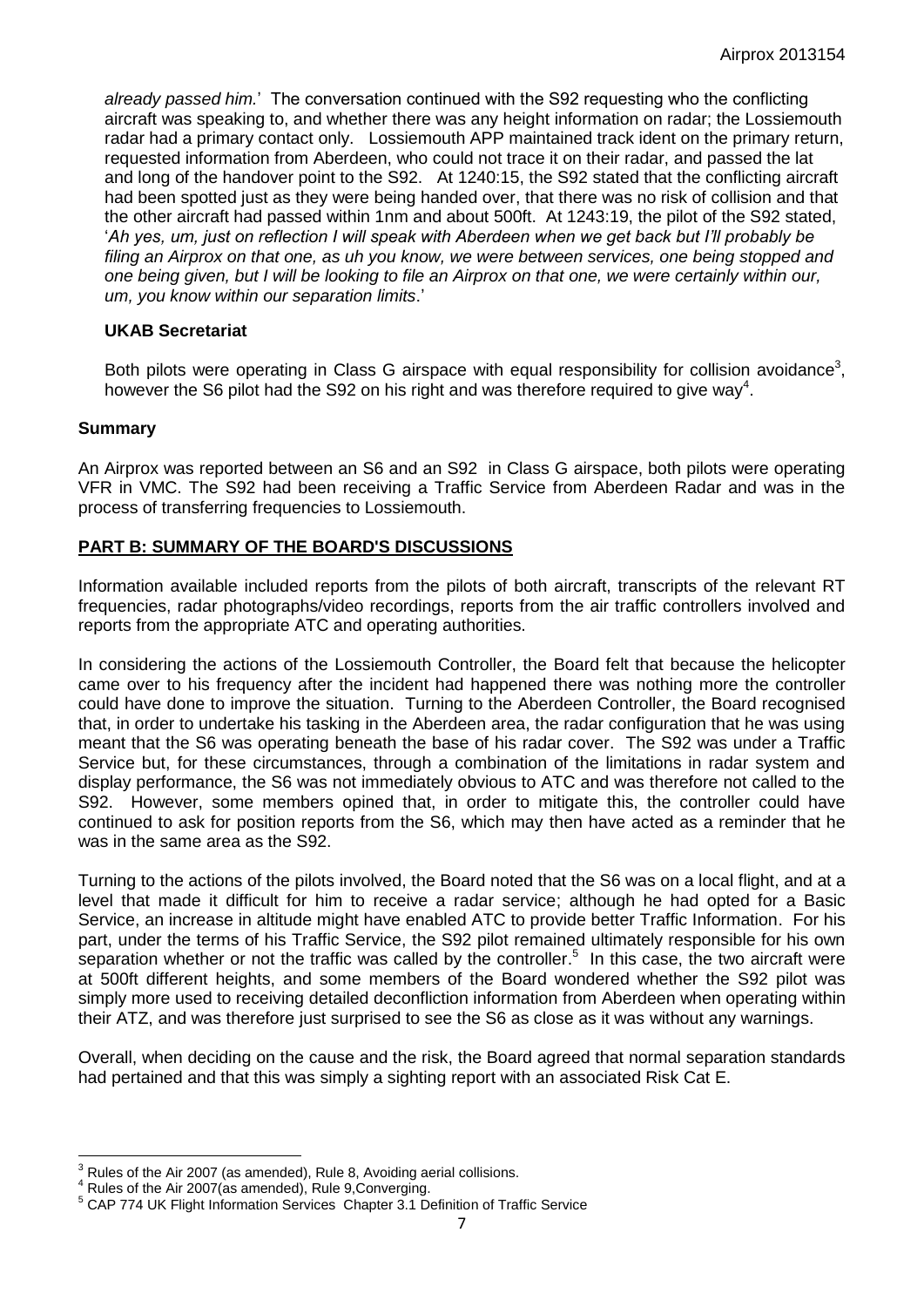*already passed him.*' The conversation continued with the S92 requesting who the conflicting aircraft was speaking to, and whether there was any height information on radar; the Lossiemouth radar had a primary contact only. Lossiemouth APP maintained track ident on the primary return, requested information from Aberdeen, who could not trace it on their radar, and passed the lat and long of the handover point to the S92. At 1240:15, the S92 stated that the conflicting aircraft had been spotted just as they were being handed over, that there was no risk of collision and that the other aircraft had passed within 1nm and about 500ft. At 1243:19, the pilot of the S92 stated, '*Ah yes, um, just on reflection I will speak with Aberdeen when we get back but I'll probably be filing an Airprox on that one, as uh you know, we were between services, one being stopped and one being given, but I will be looking to file an Airprox on that one, we were certainly within our, um, you know within our separation limits*.'

## **UKAB Secretariat**

Both pilots were operating in Class G airspace with equal responsibility for collision avoidance<sup>3</sup>, however the S6 pilot had the S92 on his right and was therefore required to give way<sup>4</sup>.

#### **Summary**

 $\overline{a}$ 

An Airprox was reported between an S6 and an S92 in Class G airspace, both pilots were operating VFR in VMC. The S92 had been receiving a Traffic Service from Aberdeen Radar and was in the process of transferring frequencies to Lossiemouth.

## **PART B: SUMMARY OF THE BOARD'S DISCUSSIONS**

Information available included reports from the pilots of both aircraft, transcripts of the relevant RT frequencies, radar photographs/video recordings, reports from the air traffic controllers involved and reports from the appropriate ATC and operating authorities.

In considering the actions of the Lossiemouth Controller, the Board felt that because the helicopter came over to his frequency after the incident had happened there was nothing more the controller could have done to improve the situation. Turning to the Aberdeen Controller, the Board recognised that, in order to undertake his tasking in the Aberdeen area, the radar configuration that he was using meant that the S6 was operating beneath the base of his radar cover. The S92 was under a Traffic Service but, for these circumstances, through a combination of the limitations in radar system and display performance, the S6 was not immediately obvious to ATC and was therefore not called to the S92. However, some members opined that, in order to mitigate this, the controller could have continued to ask for position reports from the S6, which may then have acted as a reminder that he was in the same area as the S92.

Turning to the actions of the pilots involved, the Board noted that the S6 was on a local flight, and at a level that made it difficult for him to receive a radar service; although he had opted for a Basic Service, an increase in altitude might have enabled ATC to provide better Traffic Information. For his part, under the terms of his Traffic Service, the S92 pilot remained ultimately responsible for his own separation whether or not the traffic was called by the controller. 5 In this case, the two aircraft were at 500ft different heights, and some members of the Board wondered whether the S92 pilot was simply more used to receiving detailed deconfliction information from Aberdeen when operating within their ATZ, and was therefore just surprised to see the S6 as close as it was without any warnings.

Overall, when deciding on the cause and the risk, the Board agreed that normal separation standards had pertained and that this was simply a sighting report with an associated Risk Cat E.

 $3$  Rules of the Air 2007 (as amended), Rule 8, Avoiding aerial collisions.

<sup>4</sup> Rules of the Air 2007(as amended), Rule 9,Converging.

<sup>&</sup>lt;sup>5</sup> CAP 774 UK Flight Information Services Chapter 3.1 Definition of Traffic Service